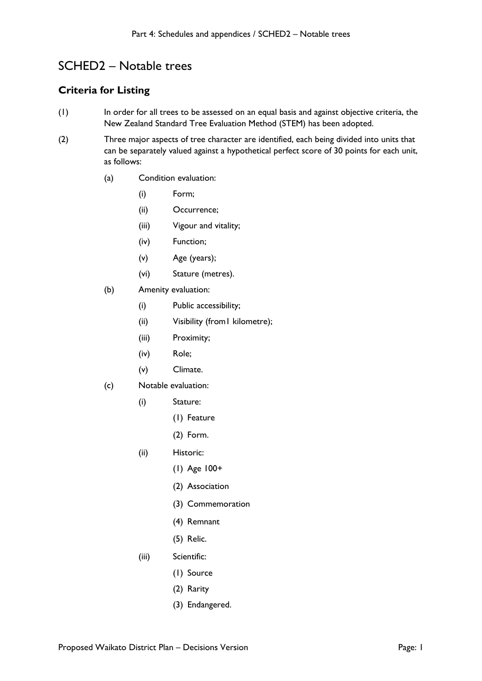## SCHED2 – Notable trees

## **Criteria for Listing**

- (1) In order for all trees to be assessed on an equal basis and against objective criteria, the New Zealand Standard Tree Evaluation Method (STEM) has been adopted.
- (2) Three major aspects of tree character are identified, each being divided into units that can be separately valued against a hypothetical perfect score of 30 points for each unit, as follows:
	- (a) Condition evaluation:
		- (i) Form;
		- (ii) Occurrence;
		- (iii) Vigour and vitality;
		- (iv) Function;
		- (v) Age (years);
		- (vi) Stature (metres).
	- (b) Amenity evaluation:
		- (i) Public accessibility;
		- (ii) Visibility (from1 kilometre);
		- (iii) Proximity;
		- (iv) Role;
		- (v) Climate.
	- (c) Notable evaluation:
		- (i) Stature:
			- (1) Feature
			- (2) Form.
		- (ii) Historic:
			- (1) Age 100+
			- (2) Association
			- (3) Commemoration
			- (4) Remnant
			- (5) Relic.
		- (iii) Scientific:
			- (1) Source
			- (2) Rarity
			- (3) Endangered.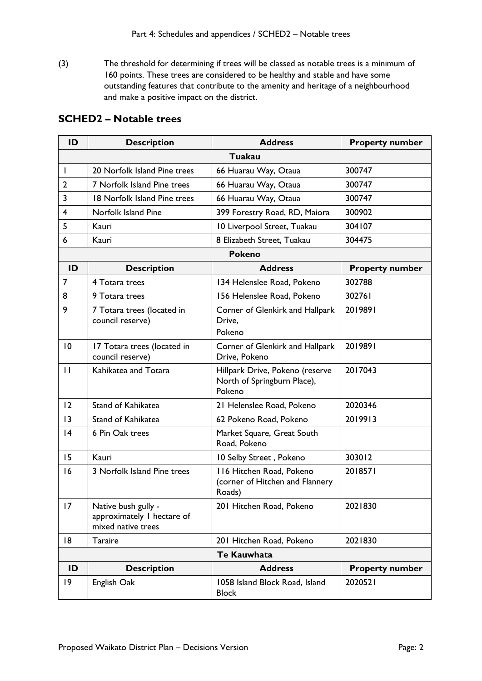(3) The threshold for determining if trees will be classed as notable trees is a minimum of 160 points. These trees are considered to be healthy and stable and have some outstanding features that contribute to the amenity and heritage of a neighbourhood and make a positive impact on the district.

## **SCHED2 – Notable trees**

| ID                 | <b>Description</b>                                                      | <b>Address</b>                                                           | <b>Property number</b> |  |
|--------------------|-------------------------------------------------------------------------|--------------------------------------------------------------------------|------------------------|--|
|                    | Tuakau                                                                  |                                                                          |                        |  |
| $\mathbf{I}$       | 20 Norfolk Island Pine trees                                            | 66 Huarau Way, Otaua                                                     | 300747                 |  |
| $\overline{2}$     | 7 Norfolk Island Pine trees                                             | 66 Huarau Way, Otaua                                                     | 300747                 |  |
| 3                  | 18 Norfolk Island Pine trees                                            | 66 Huarau Way, Otaua                                                     | 300747                 |  |
| 4                  | Norfolk Island Pine                                                     | 399 Forestry Road, RD, Maiora                                            | 300902                 |  |
| 5                  | Kauri                                                                   | 10 Liverpool Street, Tuakau                                              | 304107                 |  |
| 6                  | Kauri                                                                   | 8 Elizabeth Street, Tuakau                                               | 304475                 |  |
|                    |                                                                         | <b>Pokeno</b>                                                            |                        |  |
| ID                 | <b>Description</b>                                                      | <b>Address</b>                                                           | <b>Property number</b> |  |
| $\overline{7}$     | 4 Totara trees                                                          | 134 Helenslee Road, Pokeno                                               | 302788                 |  |
| 8                  | 9 Totara trees                                                          | 156 Helenslee Road, Pokeno                                               | 302761                 |  |
| 9                  | 7 Totara trees (located in<br>council reserve)                          | Corner of Glenkirk and Hallpark<br>Drive.<br>Pokeno                      | 2019891                |  |
| 10                 | 17 Totara trees (located in<br>council reserve)                         | Corner of Glenkirk and Hallpark<br>Drive, Pokeno                         | 2019891                |  |
| $\mathbf{H}$       | Kahikatea and Totara                                                    | Hillpark Drive, Pokeno (reserve<br>North of Springburn Place),<br>Pokeno | 2017043                |  |
| 12                 | Stand of Kahikatea                                                      | 21 Helenslee Road, Pokeno                                                | 2020346                |  |
| 3                  | Stand of Kahikatea                                                      | 62 Pokeno Road, Pokeno                                                   | 2019913                |  |
| 4                  | 6 Pin Oak trees                                                         | Market Square, Great South<br>Road, Pokeno                               |                        |  |
| 15                 | Kauri                                                                   | 10 Selby Street, Pokeno                                                  | 303012                 |  |
| 16                 | 3 Norfolk Island Pine trees                                             | 116 Hitchen Road, Pokeno<br>(corner of Hitchen and Flannery<br>Roads)    | 2018571                |  |
| 17                 | Native bush gully -<br>approximately I hectare of<br>mixed native trees | 201 Hitchen Road, Pokeno                                                 | 2021830                |  |
| 18                 | <b>Taraire</b>                                                          | 201 Hitchen Road, Pokeno                                                 | 2021830                |  |
| <b>Te Kauwhata</b> |                                                                         |                                                                          |                        |  |
| ID                 | <b>Description</b>                                                      | <b>Address</b>                                                           | <b>Property number</b> |  |
| $ 9\rangle$        | English Oak                                                             | 1058 Island Block Road, Island<br><b>Block</b>                           | 2020521                |  |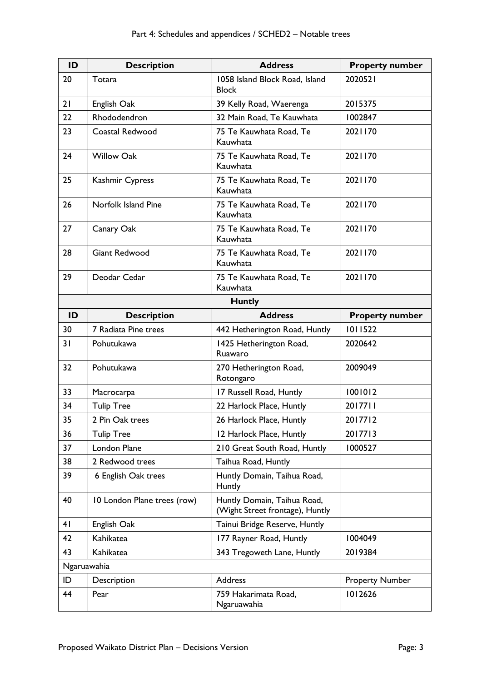| ID            | <b>Description</b>          | <b>Address</b>                                                 | <b>Property number</b> |
|---------------|-----------------------------|----------------------------------------------------------------|------------------------|
| 20            | Totara                      | 1058 Island Block Road, Island<br><b>Block</b>                 | 2020521                |
| 21            | English Oak                 | 39 Kelly Road, Waerenga                                        | 2015375                |
| 22            | Rhododendron                | 32 Main Road, Te Kauwhata                                      | 1002847                |
| 23            | Coastal Redwood             | 75 Te Kauwhata Road, Te<br>Kauwhata                            | 2021170                |
| 24            | <b>Willow Oak</b>           | 75 Te Kauwhata Road, Te<br>Kauwhata                            | 2021170                |
| 25            | Kashmir Cypress             | 75 Te Kauwhata Road, Te<br>Kauwhata                            | 2021170                |
| 26            | Norfolk Island Pine         | 75 Te Kauwhata Road, Te<br>Kauwhata                            | 2021170                |
| 27            | Canary Oak                  | 75 Te Kauwhata Road, Te<br>Kauwhata                            | 2021170                |
| 28            | <b>Giant Redwood</b>        | 75 Te Kauwhata Road, Te<br>Kauwhata                            | 2021170                |
| 29            | Deodar Cedar                | 75 Te Kauwhata Road, Te<br>Kauwhata                            | 2021170                |
| <b>Huntly</b> |                             |                                                                |                        |
| ID            | <b>Description</b>          | <b>Address</b>                                                 | <b>Property number</b> |
| 30            | 7 Radiata Pine trees        | 442 Hetherington Road, Huntly                                  | 1011522                |
| 31            | Pohutukawa                  | 1425 Hetherington Road,<br>Ruawaro                             | 2020642                |
| 32            | Pohutukawa                  | 270 Hetherington Road,<br>Rotongaro                            | 2009049                |
| 33            | Macrocarpa                  | 17 Russell Road, Huntly                                        | 1001012                |
| 34            | <b>Tulip Tree</b>           | 22 Harlock Place, Huntly                                       | 2017711                |
| 35            | 2 Pin Oak trees             | 26 Harlock Place, Huntly                                       | 2017712                |
| 36            | <b>Tulip Tree</b>           | 12 Harlock Place, Huntly                                       | 2017713                |
| 37            | London Plane                | 210 Great South Road, Huntly                                   | 1000527                |
| 38            | 2 Redwood trees             | Taihua Road, Huntly                                            |                        |
| 39            | 6 English Oak trees         | Huntly Domain, Taihua Road,<br>Huntly                          |                        |
| 40            | 10 London Plane trees (row) | Huntly Domain, Taihua Road,<br>(Wight Street frontage), Huntly |                        |
| 41            | English Oak                 | Tainui Bridge Reserve, Huntly                                  |                        |
| 42            | Kahikatea                   | 177 Rayner Road, Huntly                                        | 1004049                |
| 43            | Kahikatea                   | 343 Tregoweth Lane, Huntly                                     | 2019384                |
| Ngaruawahia   |                             |                                                                |                        |
| ID            | Description                 | Address                                                        | <b>Property Number</b> |
| 44            | Pear                        | 759 Hakarimata Road,<br>Ngaruawahia                            | 1012626                |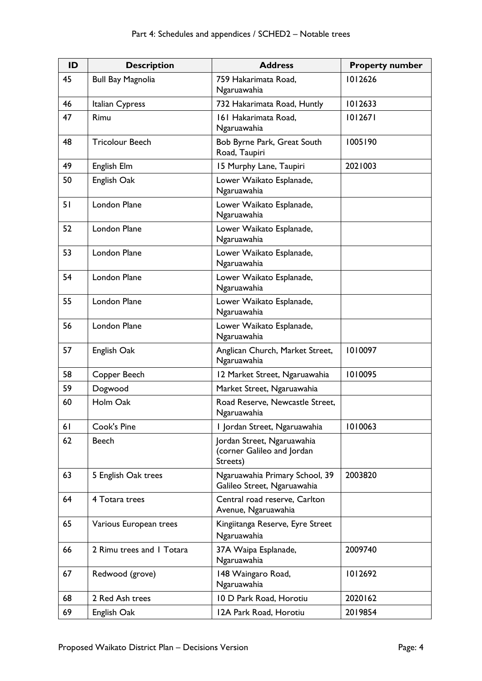| ID | <b>Description</b>        | <b>Address</b>                                                       | <b>Property number</b> |
|----|---------------------------|----------------------------------------------------------------------|------------------------|
| 45 | <b>Bull Bay Magnolia</b>  | 759 Hakarimata Road,<br>Ngaruawahia                                  | 1012626                |
| 46 | Italian Cypress           | 732 Hakarimata Road, Huntly                                          | 1012633                |
| 47 | Rimu                      | 161 Hakarimata Road,<br>Ngaruawahia                                  | 1012671                |
| 48 | <b>Tricolour Beech</b>    | Bob Byrne Park, Great South<br>Road, Taupiri                         | 1005190                |
| 49 | English Elm               | 15 Murphy Lane, Taupiri                                              | 2021003                |
| 50 | English Oak               | Lower Waikato Esplanade,<br>Ngaruawahia                              |                        |
| 51 | <b>London Plane</b>       | Lower Waikato Esplanade,<br>Ngaruawahia                              |                        |
| 52 | London Plane              | Lower Waikato Esplanade,<br>Ngaruawahia                              |                        |
| 53 | London Plane              | Lower Waikato Esplanade,<br>Ngaruawahia                              |                        |
| 54 | London Plane              | Lower Waikato Esplanade,<br>Ngaruawahia                              |                        |
| 55 | <b>London Plane</b>       | Lower Waikato Esplanade,<br>Ngaruawahia                              |                        |
| 56 | <b>London Plane</b>       | Lower Waikato Esplanade,<br>Ngaruawahia                              |                        |
| 57 | English Oak               | Anglican Church, Market Street,<br>Ngaruawahia                       | 1010097                |
| 58 | Copper Beech              | 12 Market Street, Ngaruawahia                                        | 1010095                |
| 59 | Dogwood                   | Market Street, Ngaruawahia                                           |                        |
| 60 | Holm Oak                  | Road Reserve, Newcastle Street,<br>Ngaruawahia                       |                        |
| 61 | Cook's Pine               | I Jordan Street, Ngaruawahia                                         | 1010063                |
| 62 | <b>Beech</b>              | Jordan Street, Ngaruawahia<br>(corner Galileo and Jordan<br>Streets) |                        |
| 63 | 5 English Oak trees       | Ngaruawahia Primary School, 39<br>Galileo Street, Ngaruawahia        | 2003820                |
| 64 | 4 Totara trees            | Central road reserve, Carlton<br>Avenue, Ngaruawahia                 |                        |
| 65 | Various European trees    | Kingiitanga Reserve, Eyre Street<br>Ngaruawahia                      |                        |
| 66 | 2 Rimu trees and I Totara | 37A Waipa Esplanade,<br>Ngaruawahia                                  | 2009740                |
| 67 | Redwood (grove)           | 148 Waingaro Road,<br>Ngaruawahia                                    | 1012692                |
| 68 | 2 Red Ash trees           | 10 D Park Road, Horotiu                                              | 2020162                |
| 69 | English Oak               | 12A Park Road, Horotiu                                               | 2019854                |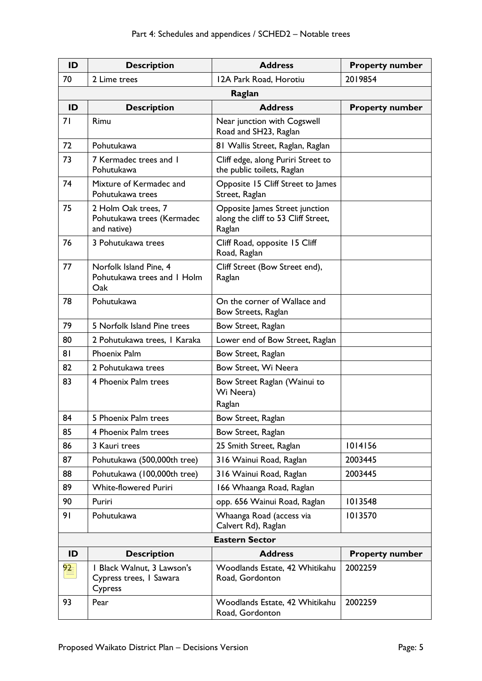| ID                    | <b>Description</b>                                               | <b>Address</b>                                                                  | <b>Property number</b> |
|-----------------------|------------------------------------------------------------------|---------------------------------------------------------------------------------|------------------------|
| 70                    | 2 Lime trees                                                     | 12A Park Road, Horotiu                                                          | 2019854                |
| Raglan                |                                                                  |                                                                                 |                        |
| ID                    | <b>Description</b>                                               | <b>Address</b>                                                                  | <b>Property number</b> |
| 71                    | Rimu                                                             | Near junction with Cogswell<br>Road and SH23, Raglan                            |                        |
| 72                    | Pohutukawa                                                       | 81 Wallis Street, Raglan, Raglan                                                |                        |
| 73                    | 7 Kermadec trees and 1<br>Pohutukawa                             | Cliff edge, along Puriri Street to<br>the public toilets, Raglan                |                        |
| 74                    | Mixture of Kermadec and<br>Pohutukawa trees                      | Opposite 15 Cliff Street to James<br>Street, Raglan                             |                        |
| 75                    | 2 Holm Oak trees, 7<br>Pohutukawa trees (Kermadec<br>and native) | Opposite James Street junction<br>along the cliff to 53 Cliff Street,<br>Raglan |                        |
| 76                    | 3 Pohutukawa trees                                               | Cliff Road, opposite 15 Cliff<br>Road, Raglan                                   |                        |
| 77                    | Norfolk Island Pine, 4<br>Pohutukawa trees and I Holm<br>Oak     | Cliff Street (Bow Street end),<br>Raglan                                        |                        |
| 78                    | Pohutukawa                                                       | On the corner of Wallace and<br>Bow Streets, Raglan                             |                        |
| 79                    | 5 Norfolk Island Pine trees                                      | Bow Street, Raglan                                                              |                        |
| 80                    | 2 Pohutukawa trees, I Karaka                                     | Lower end of Bow Street, Raglan                                                 |                        |
| 81                    | Phoenix Palm                                                     | Bow Street, Raglan                                                              |                        |
| 82                    | 2 Pohutukawa trees                                               | Bow Street, Wi Neera                                                            |                        |
| 83                    | 4 Phoenix Palm trees                                             | Bow Street Raglan (Wainui to<br>Wi Neera)<br>Raglan                             |                        |
| 84                    | 5 Phoenix Palm trees                                             | Bow Street, Raglan                                                              |                        |
| 85                    | 4 Phoenix Palm trees                                             | Bow Street, Raglan                                                              |                        |
| 86                    | 3 Kauri trees                                                    | 25 Smith Street, Raglan                                                         | 1014156                |
| 87                    | Pohutukawa (500,000th tree)                                      | 316 Wainui Road, Raglan                                                         | 2003445                |
| 88                    | Pohutukawa (100,000th tree)                                      | 316 Wainui Road, Raglan                                                         | 2003445                |
| 89                    | <b>White-flowered Puriri</b>                                     | 166 Whaanga Road, Raglan                                                        |                        |
| 90                    | Puriri                                                           | opp. 656 Wainui Road, Raglan                                                    | 1013548                |
| 91                    | Pohutukawa                                                       | Whaanga Road (access via<br>Calvert Rd), Raglan                                 | 1013570                |
| <b>Eastern Sector</b> |                                                                  |                                                                                 |                        |
| ID                    | <b>Description</b>                                               | <b>Address</b>                                                                  | <b>Property number</b> |
| $\frac{92}{2}$        | I Black Walnut, 3 Lawson's<br>Cypress trees, I Sawara<br>Cypress | Woodlands Estate, 42 Whitikahu<br>Road, Gordonton                               | 2002259                |
| 93                    | Pear                                                             | Woodlands Estate, 42 Whitikahu<br>Road, Gordonton                               | 2002259                |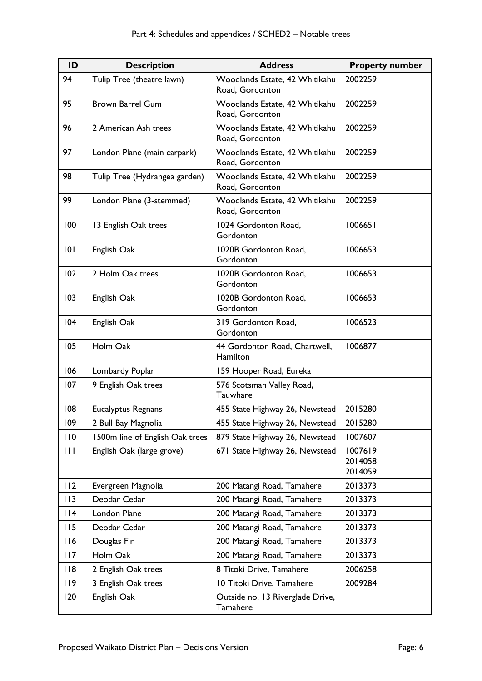| ID           | <b>Description</b>              | <b>Address</b>                                    | <b>Property number</b>        |
|--------------|---------------------------------|---------------------------------------------------|-------------------------------|
| 94           | Tulip Tree (theatre lawn)       | Woodlands Estate, 42 Whitikahu<br>Road, Gordonton | 2002259                       |
| 95           | <b>Brown Barrel Gum</b>         | Woodlands Estate, 42 Whitikahu<br>Road, Gordonton | 2002259                       |
| 96           | 2 American Ash trees            | Woodlands Estate, 42 Whitikahu<br>Road, Gordonton | 2002259                       |
| 97           | London Plane (main carpark)     | Woodlands Estate, 42 Whitikahu<br>Road, Gordonton | 2002259                       |
| 98           | Tulip Tree (Hydrangea garden)   | Woodlands Estate, 42 Whitikahu<br>Road, Gordonton | 2002259                       |
| 99           | London Plane (3-stemmed)        | Woodlands Estate, 42 Whitikahu<br>Road, Gordonton | 2002259                       |
| 100          | 13 English Oak trees            | 1024 Gordonton Road,<br>Gordonton                 | 1006651                       |
| 101          | English Oak                     | 1020B Gordonton Road,<br>Gordonton                | 1006653                       |
| 102          | 2 Holm Oak trees                | 1020B Gordonton Road,<br>Gordonton                | 1006653                       |
| 103          | English Oak                     | 1020B Gordonton Road,<br>Gordonton                | 1006653                       |
| 104          | English Oak                     | 319 Gordonton Road,<br>Gordonton                  | 1006523                       |
| 105          | Holm Oak                        | 44 Gordonton Road, Chartwell,<br>Hamilton         | 1006877                       |
| 106          | Lombardy Poplar                 | 159 Hooper Road, Eureka                           |                               |
| 107          | 9 English Oak trees             | 576 Scotsman Valley Road,<br>Tauwhare             |                               |
| 108          | <b>Eucalyptus Regnans</b>       | 455 State Highway 26, Newstead                    | 2015280                       |
| 109          | 2 Bull Bay Magnolia             | 455 State Highway 26, Newstead                    | 2015280                       |
| 110          | 1500m line of English Oak trees | 879 State Highway 26, Newstead                    | 1007607                       |
| $\mathbf{H}$ | English Oak (large grove)       | 671 State Highway 26, Newstead                    | 1007619<br>2014058<br>2014059 |
| 112          | Evergreen Magnolia              | 200 Matangi Road, Tamahere                        | 2013373                       |
| 113          | Deodar Cedar                    | 200 Matangi Road, Tamahere                        | 2013373                       |
| 114          | London Plane                    | 200 Matangi Road, Tamahere                        | 2013373                       |
| 115          | Deodar Cedar                    | 200 Matangi Road, Tamahere                        | 2013373                       |
| 116          | Douglas Fir                     | 200 Matangi Road, Tamahere                        | 2013373                       |
| 117          | Holm Oak                        | 200 Matangi Road, Tamahere                        | 2013373                       |
| 118          | 2 English Oak trees             | 8 Titoki Drive, Tamahere                          | 2006258                       |
| 119          | 3 English Oak trees             | 10 Titoki Drive, Tamahere                         | 2009284                       |
| 120          | English Oak                     | Outside no. 13 Riverglade Drive,<br>Tamahere      |                               |